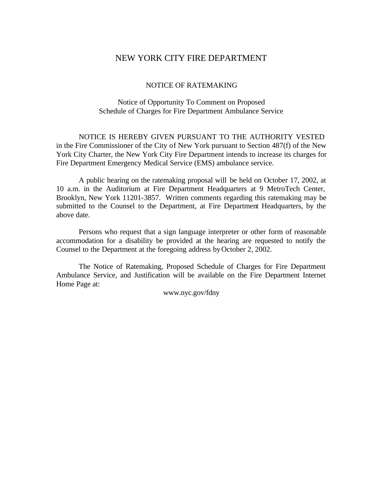# NEW YORK CITY FIRE DEPARTMENT

### NOTICE OF RATEMAKING

## Notice of Opportunity To Comment on Proposed Schedule of Charges for Fire Department Ambulance Service

NOTICE IS HEREBY GIVEN PURSUANT TO THE AUTHORITY VESTED in the Fire Commissioner of the City of New York pursuant to Section 487(f) of the New York City Charter, the New York City Fire Department intends to increase its charges for Fire Department Emergency Medical Service (EMS) ambulance service.

A public hearing on the ratemaking proposal will be held on October 17, 2002, at 10 a.m. in the Auditorium at Fire Department Headquarters at 9 MetroTech Center, Brooklyn, New York 11201-3857. Written comments regarding this ratemaking may be submitted to the Counsel to the Department, at Fire Department Headquarters, by the above date.

Persons who request that a sign language interpreter or other form of reasonable accommodation for a disability be provided at the hearing are requested to notify the Counsel to the Department at the foregoing address by October 2, 2002.

The Notice of Ratemaking, Proposed Schedule of Charges for Fire Department Ambulance Service, and Justification will be available on the Fire Department Internet Home Page at:

www.nyc.gov/fdny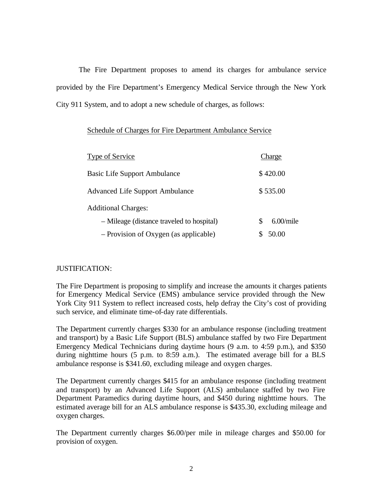The Fire Department proposes to amend its charges for ambulance service provided by the Fire Department's Emergency Medical Service through the New York City 911 System, and to adopt a new schedule of charges, as follows:

### Schedule of Charges for Fire Department Ambulance Service

| Type of Service                           | Charge            |
|-------------------------------------------|-------------------|
| <b>Basic Life Support Ambulance</b>       | \$420.00          |
| <b>Advanced Life Support Ambulance</b>    | \$535.00          |
| <b>Additional Charges:</b>                |                   |
| - Mileage (distance traveled to hospital) | $6.00$ /mile<br>S |
| - Provision of Oxygen (as applicable)     | 50.00             |

## JUSTIFICATION:

The Fire Department is proposing to simplify and increase the amounts it charges patients for Emergency Medical Service (EMS) ambulance service provided through the New York City 911 System to reflect increased costs, help defray the City's cost of providing such service, and eliminate time-of-day rate differentials.

The Department currently charges \$330 for an ambulance response (including treatment and transport) by a Basic Life Support (BLS) ambulance staffed by two Fire Department Emergency Medical Technicians during daytime hours (9 a.m. to 4:59 p.m.), and \$350 during nighttime hours (5 p.m. to 8:59 a.m.). The estimated average bill for a BLS ambulance response is \$341.60, excluding mileage and oxygen charges.

The Department currently charges \$415 for an ambulance response (including treatment and transport) by an Advanced Life Support (ALS) ambulance staffed by two Fire Department Paramedics during daytime hours, and \$450 during nighttime hours. The estimated average bill for an ALS ambulance response is \$435.30, excluding mileage and oxygen charges.

The Department currently charges \$6.00/per mile in mileage charges and \$50.00 for provision of oxygen.